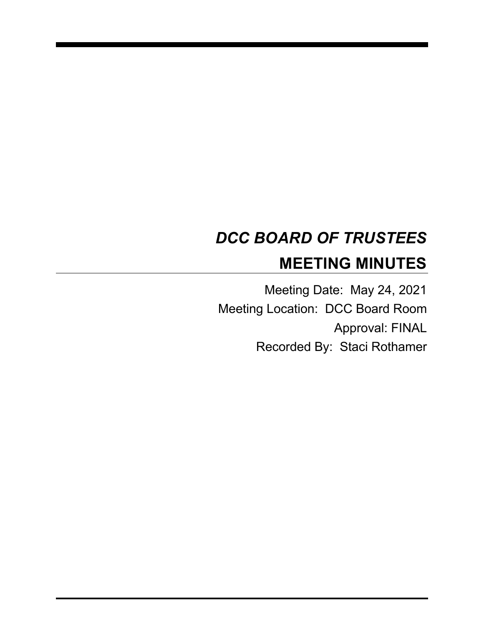# *DCC BOARD OF TRUSTEES* **MEETING MINUTES**

Meeting Date: May 24, 2021 Meeting Location: DCC Board Room Approval: FINAL Recorded By: Staci Rothamer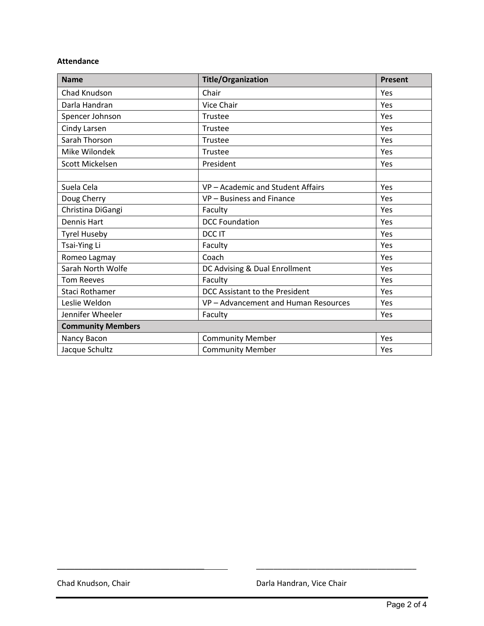#### **Attendance**

| <b>Name</b>              | <b>Title/Organization</b>          | <b>Present</b> |
|--------------------------|------------------------------------|----------------|
| Chad Knudson             | Chair                              | Yes            |
| Darla Handran            | Vice Chair                         | Yes            |
| Spencer Johnson          | Trustee                            | Yes            |
| Cindy Larsen             | Trustee                            | Yes            |
| Sarah Thorson            | Trustee                            | Yes            |
| Mike Wilondek            | Trustee                            | Yes            |
| Scott Mickelsen          | President                          | Yes            |
|                          |                                    |                |
| Suela Cela               | VP-Academic and Student Affairs    | Yes            |
| Doug Cherry              | VP-Business and Finance            | Yes            |
| Christina DiGangi        | Faculty                            | Yes            |
| Dennis Hart              | <b>DCC Foundation</b>              | Yes            |
| <b>Tyrel Huseby</b>      | DCC IT                             | Yes            |
| Tsai-Ying Li             | Faculty                            | Yes            |
| Romeo Lagmay             | Coach                              | Yes            |
| Sarah North Wolfe        | DC Advising & Dual Enrollment      | Yes            |
| <b>Tom Reeves</b>        | Faculty                            | Yes            |
| Staci Rothamer           | DCC Assistant to the President     | Yes            |
| Leslie Weldon            | VP-Advancement and Human Resources | Yes            |
| Jennifer Wheeler         | Faculty                            | Yes            |
| <b>Community Members</b> |                                    |                |
| Nancy Bacon              | <b>Community Member</b>            | Yes            |
| Jacque Schultz           | <b>Community Member</b>            | Yes            |

\_\_\_\_\_\_\_\_\_\_\_\_\_\_\_\_\_\_\_\_\_\_\_\_\_\_\_\_\_\_\_\_\_\_ \_\_\_\_\_\_\_\_\_\_\_\_\_\_\_\_\_\_\_\_\_\_\_\_\_\_\_\_\_\_\_\_\_\_\_\_\_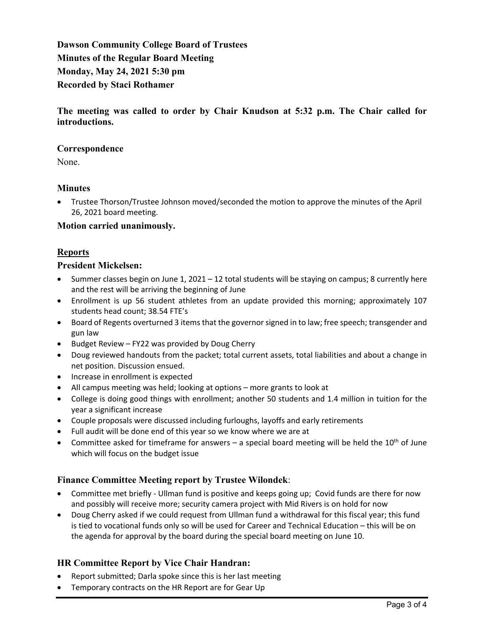**Dawson Community College Board of Trustees Minutes of the Regular Board Meeting Monday, May 24, 2021 5:30 pm Recorded by Staci Rothamer**

**The meeting was called to order by Chair Knudson at 5:32 p.m. The Chair called for introductions.**

## **Correspondence**

None.

# **Minutes**

• Trustee Thorson/Trustee Johnson moved/seconded the motion to approve the minutes of the April 26, 2021 board meeting.

## **Motion carried unanimously.**

## **Reports**

## **President Mickelsen:**

- Summer classes begin on June 1, 2021 12 total students will be staying on campus; 8 currently here and the rest will be arriving the beginning of June
- Enrollment is up 56 student athletes from an update provided this morning; approximately 107 students head count; 38.54 FTE's
- Board of Regents overturned 3 items that the governorsigned in to law; free speech; transgender and gun law
- Budget Review FY22 was provided by Doug Cherry
- Doug reviewed handouts from the packet; total current assets, total liabilities and about a change in net position. Discussion ensued.
- Increase in enrollment is expected
- All campus meeting was held; looking at options more grants to look at
- College is doing good things with enrollment; another 50 students and 1.4 million in tuition for the year a significant increase
- Couple proposals were discussed including furloughs, layoffs and early retirements
- Full audit will be done end of this year so we know where we are at
- Committee asked for timeframe for answers a special board meeting will be held the  $10^{th}$  of June which will focus on the budget issue

# **Finance Committee Meeting report by Trustee Wilondek**:

- Committee met briefly Ullman fund is positive and keeps going up; Covid funds are there for now and possibly will receive more; security camera project with Mid Rivers is on hold for now
- Doug Cherry asked if we could request from Ullman fund a withdrawal for this fiscal year; this fund is tied to vocational funds only so will be used for Career and Technical Education – this will be on the agenda for approval by the board during the special board meeting on June 10.

# **HR Committee Report by Vice Chair Handran:**

- Report submitted; Darla spoke since this is her last meeting
- Temporary contracts on the HR Report are for Gear Up